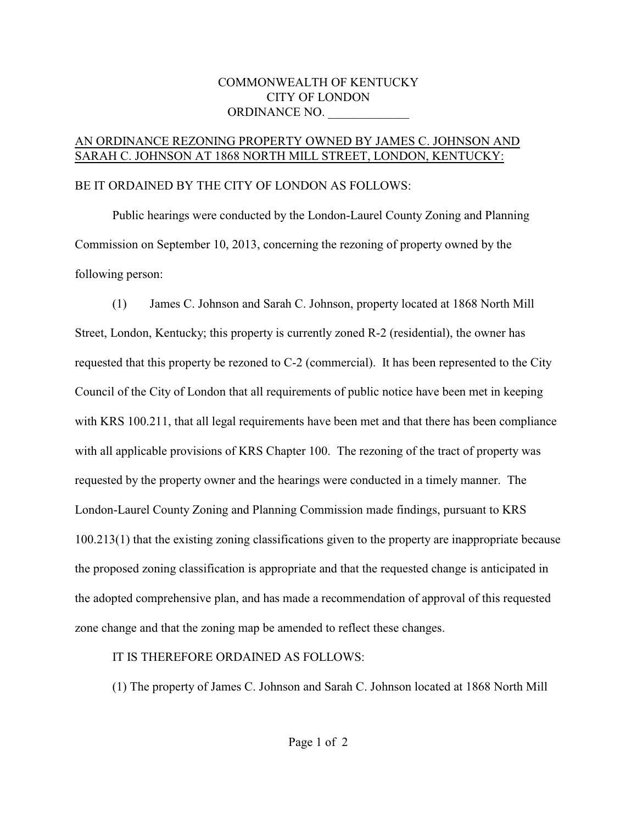### COMMONWEALTH OF KENTUCKY CITY OF LONDON ORDINANCE NO.

#### AN ORDINANCE REZONING PROPERTY OWNED BY JAMES C. JOHNSON AND SARAH C. JOHNSON AT 1868 NORTH MILL STREET, LONDON, KENTUCKY:

### BE IT ORDAINED BY THE CITY OF LONDON AS FOLLOWS:

Public hearings were conducted by the London-Laurel County Zoning and Planning Commission on September 10, 2013, concerning the rezoning of property owned by the following person:

(1) James C. Johnson and Sarah C. Johnson, property located at 1868 North Mill Street, London, Kentucky; this property is currently zoned R-2 (residential), the owner has requested that this property be rezoned to C-2 (commercial). It has been represented to the City Council of the City of London that all requirements of public notice have been met in keeping with KRS 100.211, that all legal requirements have been met and that there has been compliance with all applicable provisions of KRS Chapter 100. The rezoning of the tract of property was requested by the property owner and the hearings were conducted in a timely manner. The London-Laurel County Zoning and Planning Commission made findings, pursuant to KRS 100.213(1) that the existing zoning classifications given to the property are inappropriate because the proposed zoning classification is appropriate and that the requested change is anticipated in the adopted comprehensive plan, and has made a recommendation of approval of this requested zone change and that the zoning map be amended to reflect these changes.

## IT IS THEREFORE ORDAINED AS FOLLOWS:

(1) The property of James C. Johnson and Sarah C. Johnson located at 1868 North Mill